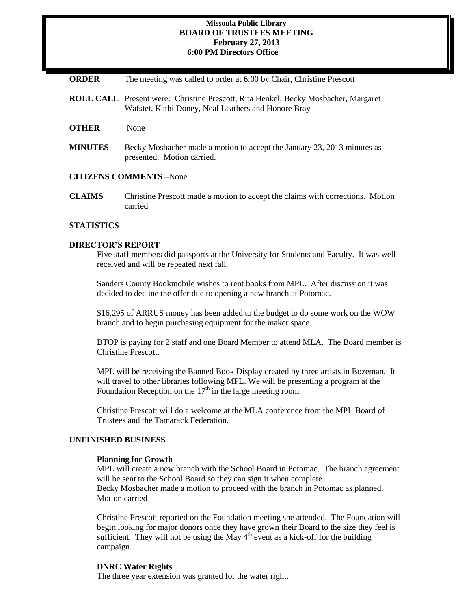#### **Missoula Public Library BOARD OF TRUSTEES MEETING February 27, 2013 6:00 PM Directors Office**

| <b>ORDER</b> |  |  |  | The meeting was called to order at 6:00 by Chair, Christine Prescott |
|--------------|--|--|--|----------------------------------------------------------------------|
|--------------|--|--|--|----------------------------------------------------------------------|

- **ROLL CALL** Present were: Christine Prescott, Rita Henkel, Becky Mosbacher, Margaret Wafstet, Kathi Doney, Neal Leathers and Honore Bray
- **OTHER** None
- **MINUTES** Becky Mosbacher made a motion to accept the January 23, 2013 minutes as presented. Motion carried.

#### **CITIZENS COMMENTS** –None

**CLAIMS** Christine Prescott made a motion to accept the claims with corrections. Motion carried

### **STATISTICS**

#### **DIRECTOR'S REPORT**

Five staff members did passports at the University for Students and Faculty. It was well received and will be repeated next fall.

Sanders County Bookmobile wishes to rent books from MPL. After discussion it was decided to decline the offer due to opening a new branch at Potomac.

\$16,295 of ARRUS money has been added to the budget to do some work on the WOW branch and to begin purchasing equipment for the maker space.

BTOP is paying for 2 staff and one Board Member to attend MLA. The Board member is Christine Prescott.

MPL will be receiving the Banned Book Display created by three artists in Bozeman. It will travel to other libraries following MPL. We will be presenting a program at the Foundation Reception on the  $17<sup>th</sup>$  in the large meeting room.

Christine Prescott will do a welcome at the MLA conference from the MPL Board of Trustees and the Tamarack Federation.

#### **UNFINISHED BUSINESS**

#### **Planning for Growth**

MPL will create a new branch with the School Board in Potomac. The branch agreement will be sent to the School Board so they can sign it when complete. Becky Mosbacher made a motion to proceed with the branch in Potomac as planned. Motion carried

Christine Prescott reported on the Foundation meeting she attended. The Foundation will begin looking for major donors once they have grown their Board to the size they feel is sufficient. They will not be using the May  $4<sup>th</sup>$  event as a kick-off for the building campaign.

#### **DNRC Water Rights**

The three year extension was granted for the water right.